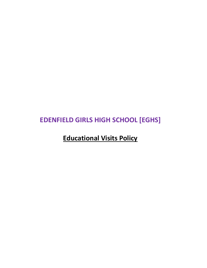# **EDENFIELD GIRLS HIGH SCHOOL [EGHS]**

**Educational Visits Policy**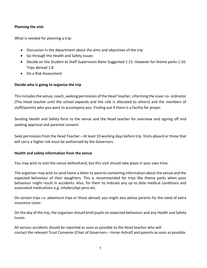#### **Planning the visit**

What is needed for planning a trip:

- Discussion in the department about the aims and objectives of the trip
- Go through the Health and Safety Issues
- Decide on the Student to Staff Supervision Ratio Suggested 1:15. However for theme parks 1:10. Trips abroad 1:8
- Do a Risk Assessment

#### **Decide who is going to organise the trip**

This includes the venue, coach, seeking permission of the Head Teacher, informing the cover co- ordinator (The Head teacher until the school expands and the role is allocated to others) and the members of staff/parents who you want to accompany you. Finding out if there is a facility for prayer.

Sending Health and Safety form to the venue and the Head teacher for overview and signing off and seeking approval and parental consent.

Seek permission from the Head Teacher – At least 10 working days before trip. Visits aboard or those that will carry a higher risk must be authorised by the Governors.

#### **Health and safety information from the venue**

You may wish to visit the venue beforehand, but this visit should take place in your own time.

The organiser may wish to send home a letter to parents containing information about the venue and the expected behaviour of their daughters. This is recommended for trips like theme parks when poor behaviour might result in accidents. Also, for them to indicate any up to date medical conditions and associated medications e.g. inhalers/epi pens etc.

On certain trips i.e. adventure trips or those abroad, you might also advise parents for the need of extra insurance cover.

On the day of the trip, the organiser should brief pupils on expected behaviour and any Health and Safety Issues.

All serious accidents should be reported as soon as possible to the Head teacher who will contact the relevant Trust Convenor (Chair of Governors – Imran Ashraf) and parents as soon as possible.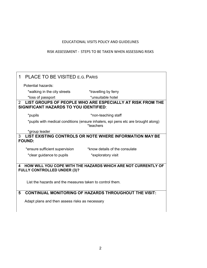## EDUCATIONAL VISITS POLICY AND GUIDELINES

### RISK ASSESSMENT - STEPS TO BE TAKEN WHEN ASSESSING RISKS

| <b>PLACE TO BE VISITED E.G. PARIS</b><br>1                                                                      |                                                                                                |                                                              |  |  |
|-----------------------------------------------------------------------------------------------------------------|------------------------------------------------------------------------------------------------|--------------------------------------------------------------|--|--|
|                                                                                                                 | Potential hazards:                                                                             |                                                              |  |  |
|                                                                                                                 | *walking in the city streets                                                                   | *travelling by ferry                                         |  |  |
|                                                                                                                 | *loss of passport                                                                              | *unsuitable hotel                                            |  |  |
| LIST GROUPS OF PEOPLE WHO ARE ESPECIALLY AT RISK FROM THE<br>2<br><b>SIGNIFICANT HAZARDS TO YOU IDENTIFIED:</b> |                                                                                                |                                                              |  |  |
|                                                                                                                 | *pupils                                                                                        | *non-teaching staff                                          |  |  |
|                                                                                                                 | *pupils with medical conditions (ensure inhalers, epi pens etc are brought along)<br>*teachers |                                                              |  |  |
|                                                                                                                 | *group leader                                                                                  |                                                              |  |  |
| LIST EXISTING CONTROLS OR NOTE WHERE INFORMATION MAY BE<br>3                                                    |                                                                                                |                                                              |  |  |
|                                                                                                                 | <b>FOUND:</b>                                                                                  |                                                              |  |  |
|                                                                                                                 | *ensure sufficient supervision                                                                 | *know details of the consulate                               |  |  |
|                                                                                                                 | *clear guidance to pupils                                                                      | *exploratory visit                                           |  |  |
|                                                                                                                 |                                                                                                |                                                              |  |  |
| HOW WILL YOU COPE WITH THE HAZARDS WHICH ARE NOT CURRENTLY OF<br>4<br><b>FULLY CONTROLLED UNDER (3)?</b>        |                                                                                                |                                                              |  |  |
|                                                                                                                 | List the hazards and the measures taken to control them.                                       |                                                              |  |  |
| 5                                                                                                               |                                                                                                | <b>CONTINUAL MONITORING OF HAZARDS THROUGHOUT THE VISIT:</b> |  |  |
|                                                                                                                 | Adapt plans and then assess risks as necessary                                                 |                                                              |  |  |